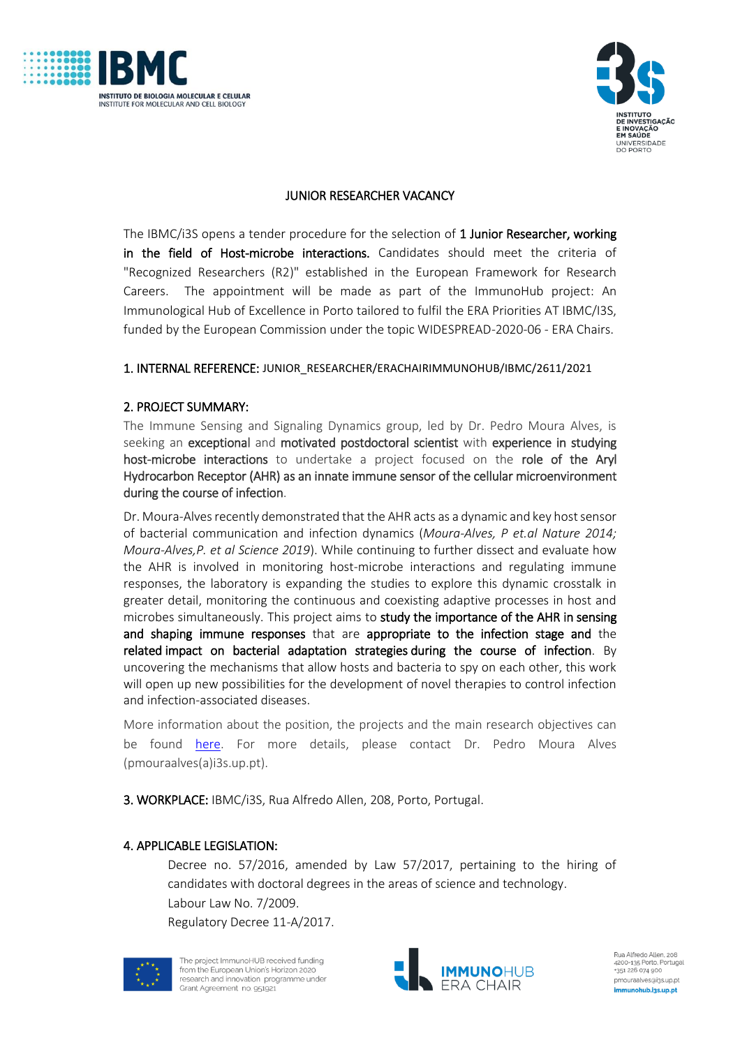



## JUNIOR RESEARCHER VACANCY

The IBMC/i3S opens a tender procedure for the selection of 1 Junior Researcher, working in the field of Host-microbe interactions. Candidates should meet the criteria of "Recognized Researchers (R2)" established in the European Framework for Research Careers. The appointment will be made as part of the ImmunoHub project: An Immunological Hub of Excellence in Porto tailored to fulfil the ERA Priorities AT IBMC/I3S, funded by the European Commission under the topic WIDESPREAD-2020-06 - ERA Chairs.

#### 1. INTERNAL REFERENCE: JUNIOR\_RESEARCHER/ERACHAIRIMMUNOHUB/IBMC/2611/2021

#### 2. PROJECT SUMMARY:

The Immune Sensing and Signaling Dynamics group, led by Dr. Pedro Moura Alves, is seeking an exceptional and motivated postdoctoral scientist with experience in studying host-microbe interactions to undertake a project focused on the role of the Aryl Hydrocarbon Receptor (AHR) as an innate immune sensor of the cellular microenvironment during the course of infection.

Dr. Moura-Alves recently demonstrated that the AHR acts as a dynamic and key host sensor of bacterial communication and infection dynamics (*Moura-Alves, P et.al Nature 2014; Moura-Alves,P. et al Science 2019*). While continuing to further dissect and evaluate how the AHR is involved in monitoring host-microbe interactions and regulating immune responses, the laboratory is expanding the studies to explore this dynamic crosstalk in greater detail, monitoring the continuous and coexisting adaptive processes in host and microbes simultaneously. This project aims to study the importance of the AHR in sensing and shaping immune responses that are appropriate to the infection stage and the related impact on bacterial adaptation strategies during the course of infection. By uncovering the mechanisms that allow hosts and bacteria to spy on each other, this work will open up new possibilities for the development of novel therapies to control infection and infection-associated diseases.

More information about the position, the projects and the main research objectives can be found [here.](https://www.i3s.up.pt/research-group.php?groupid=202) For more details, please contact Dr. Pedro Moura Alves (pmouraalves(a)i3s.up.pt).

3. WORKPLACE: IBMC/i3S, Rua Alfredo Allen, 208, Porto, Portugal.

#### 4. APPLICABLE LEGISLATION:

Decree no. 57/2016, amended by Law 57/2017, pertaining to the hiring of candidates with doctoral degrees in the areas of science and technology. Labour Law No. 7/2009.

Regulatory Decree 11-A/2017.





Rua Alfredo Allen, 208 xua Attreuo Atterr, 200<br>4200-135 Porto, Portugal +351 226 074 900 pmouraalves@i3s.up.pt immunohub.i3s.up.pt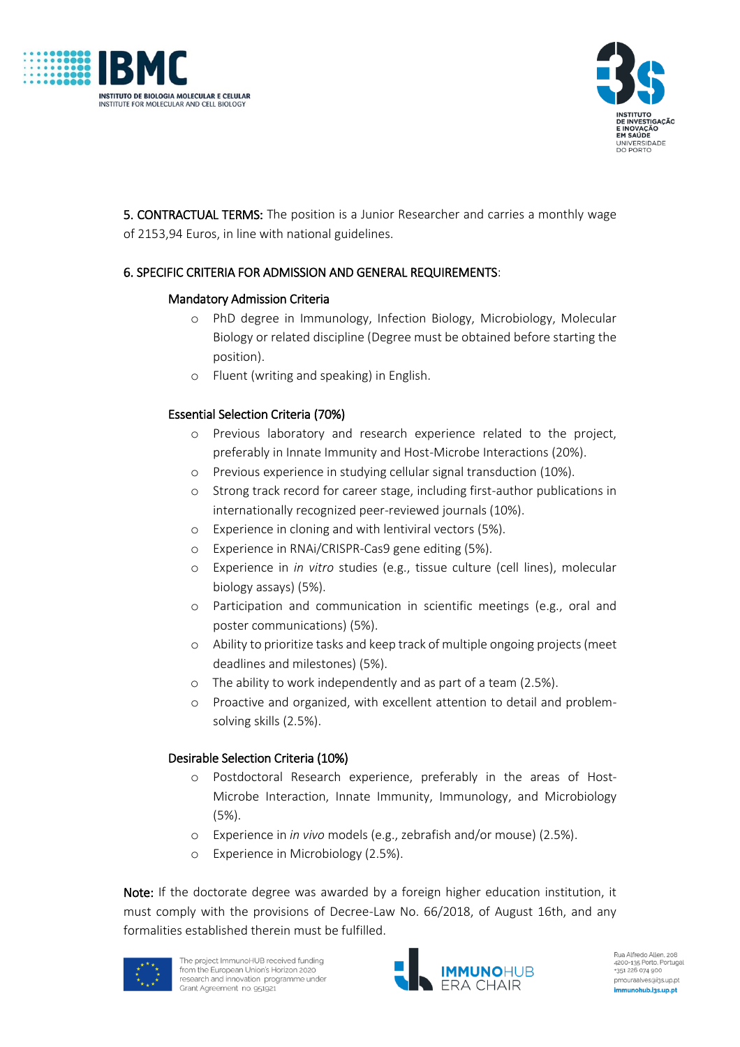



5. CONTRACTUAL TERMS: The position is a Junior Researcher and carries a monthly wage of 2153,94 Euros, in line with national guidelines.

# 6. SPECIFIC CRITERIA FOR ADMISSION AND GENERAL REQUIREMENTS:

## Mandatory Admission Criteria

- o PhD degree in Immunology, Infection Biology, Microbiology, Molecular Biology or related discipline (Degree must be obtained before starting the position).
- o Fluent (writing and speaking) in English.

# Essential Selection Criteria (70%)

- o Previous laboratory and research experience related to the project, preferably in Innate Immunity and Host-Microbe Interactions (20%).
- o Previous experience in studying cellular signal transduction (10%).
- o Strong track record for career stage, including first-author publications in internationally recognized peer-reviewed journals (10%).
- o Experience in cloning and with lentiviral vectors (5%).
- o Experience in RNAi/CRISPR-Cas9 gene editing (5%).
- o Experience in *in vitro* studies (e.g., tissue culture (cell lines), molecular biology assays) (5%).
- o Participation and communication in scientific meetings (e.g., oral and poster communications) (5%).
- o Ability to prioritize tasks and keep track of multiple ongoing projects (meet deadlines and milestones) (5%).
- o The ability to work independently and as part of a team (2.5%).
- o Proactive and organized, with excellent attention to detail and problemsolving skills (2.5%).

## Desirable Selection Criteria (10%)

- o Postdoctoral Research experience, preferably in the areas of Host-Microbe Interaction, Innate Immunity, Immunology, and Microbiology (5%).
- o Experience in *in vivo* models (e.g., zebrafish and/or mouse) (2.5%).
- o Experience in Microbiology (2.5%).

Note: If the doctorate degree was awarded by a foreign higher education institution, it must comply with the provisions of Decree-Law No. 66/2018, of August 16th, and any formalities established therein must be fulfilled.



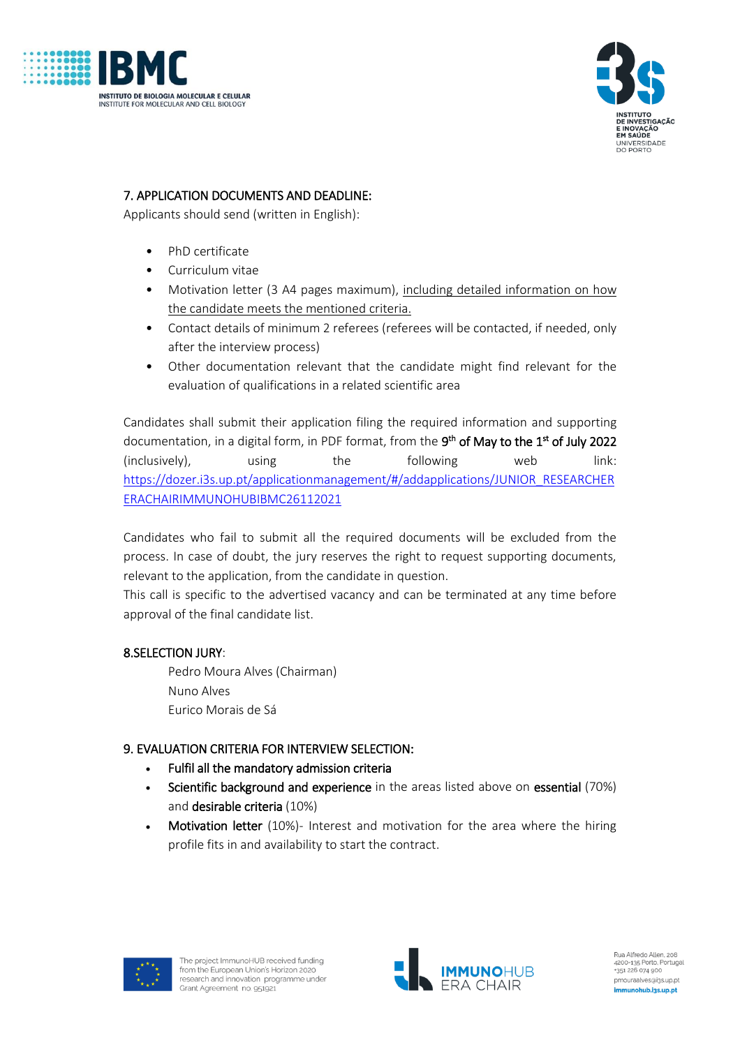



# 7. APPLICATION DOCUMENTS AND DEADLINE:

Applicants should send (written in English):

- PhD certificate
- Curriculum vitae
- Motivation letter (3 A4 pages maximum), including detailed information on how the candidate meets the mentioned criteria.
- Contact details of minimum 2 referees (referees will be contacted, if needed, only after the interview process)
- Other documentation relevant that the candidate might find relevant for the evaluation of qualifications in a related scientific area

Candidates shall submit their application filing the required information and supporting documentation, in a digital form, in PDF format, from the  $9^{\sf th}$  <mark>of May to the 1st of July 2022</mark> (inclusively), using the following web link: [https://dozer.i3s.up.pt/applicationmanagement/#/addapplications/JUNIOR\\_RESEARCHER](https://dozer.i3s.up.pt/applicationmanagement/#/addapplications/JUNIOR_RESEARCHERERACHAIRIMMUNOHUBIBMC26112021) [ERACHAIRIMMUNOHUBIBMC26112021](https://dozer.i3s.up.pt/applicationmanagement/#/addapplications/JUNIOR_RESEARCHERERACHAIRIMMUNOHUBIBMC26112021)

Candidates who fail to submit all the required documents will be excluded from the process. In case of doubt, the jury reserves the right to request supporting documents, relevant to the application, from the candidate in question.

This call is specific to the advertised vacancy and can be terminated at any time before approval of the final candidate list.

## 8.SELECTION JURY:

Pedro Moura Alves (Chairman) Nuno Alves Eurico Morais de Sá

## 9. EVALUATION CRITERIA FOR INTERVIEW SELECTION:

- Fulfil all the mandatory admission criteria
- Scientific background and experience in the areas listed above on essential (70%) and desirable criteria (10%)
- Motivation letter (10%)- Interest and motivation for the area where the hiring profile fits in and availability to start the contract.





Rua Alfredo Allen, 208 4200-135 Porto, Portugal<br>+351 226 074 900 pmouraalves@i3s.up.pt immunohub.i3s.up.pt